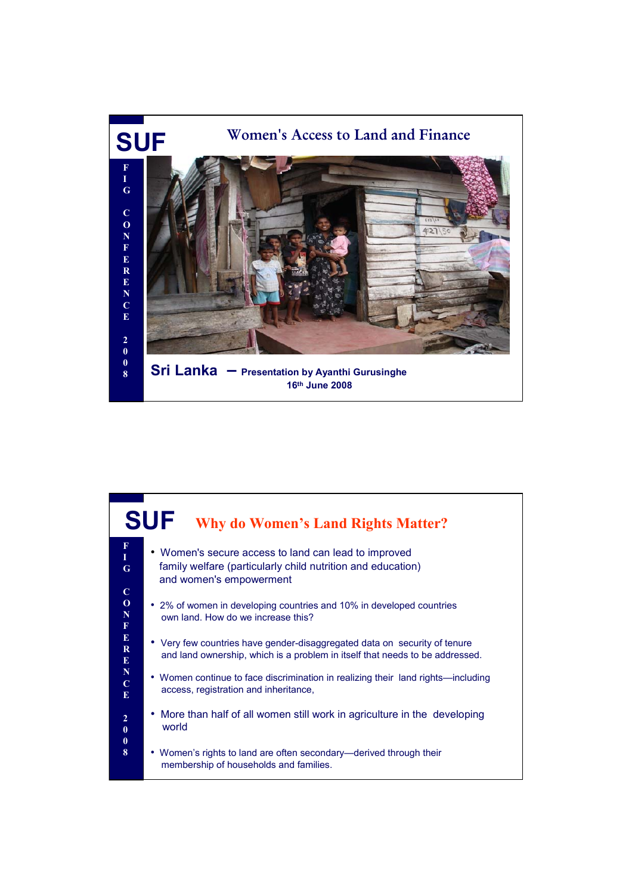

## **SUF** • Women's secure access to land can lead to improved family welfare (particularly child nutrition and education) and women's empowerment • 2% of women in developing countries and 10% in developed countries own land. How do we increase this? • Very few countries have gender-disaggregated data on security of tenure and land ownership, which is a problem in itself that needs to be addressed. • Women continue to face discrimination in realizing their land rights—including access, registration and inheritance, • More than half of all women still work in agriculture in the developing world • Women's rights to land are often secondary—derived through their membership of households and families. **F I G C O N F E R E N C E 2 0 0 8 Why do Women's Land Rights Matter?**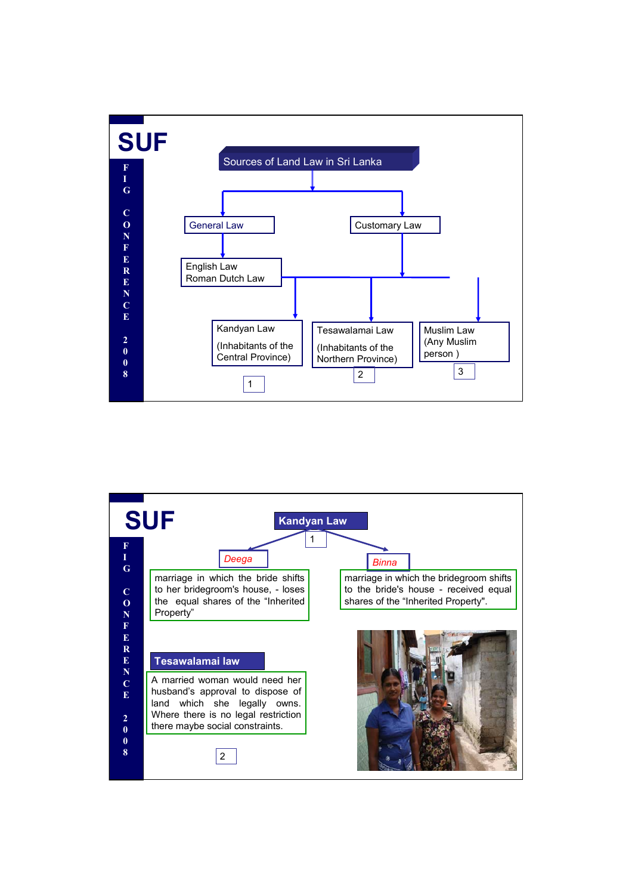

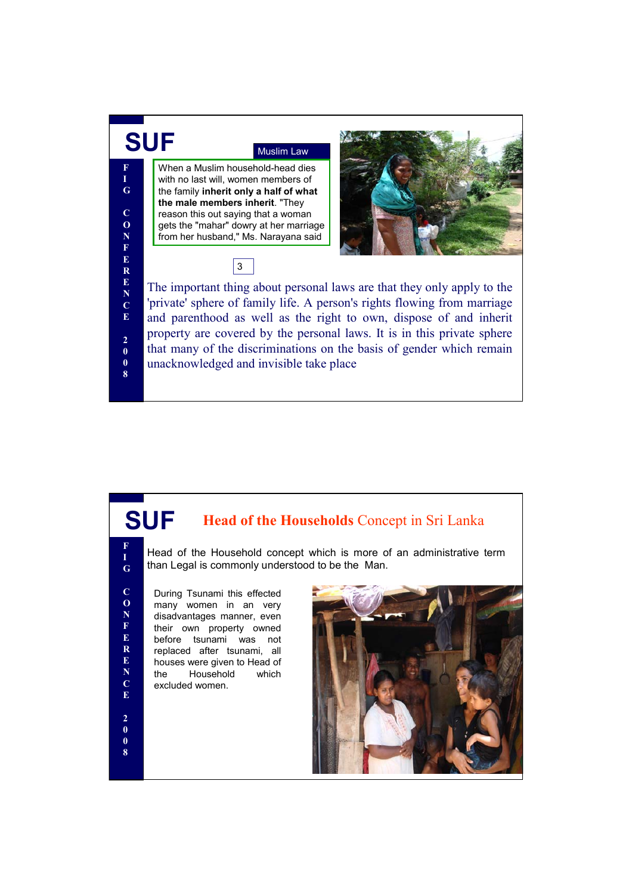

## **SUF Head of the Households** Concept in Sri Lanka

Head of the Household concept which is more of an administrative term than Legal is commonly understood to be the Man.

During Tsunami this effected many women in an very disadvantages manner, even their own property owned before tsunami was not replaced after tsunami, all houses were given to Head of the Household which excluded women.

**F I G**

**C O N F E R E N C E**

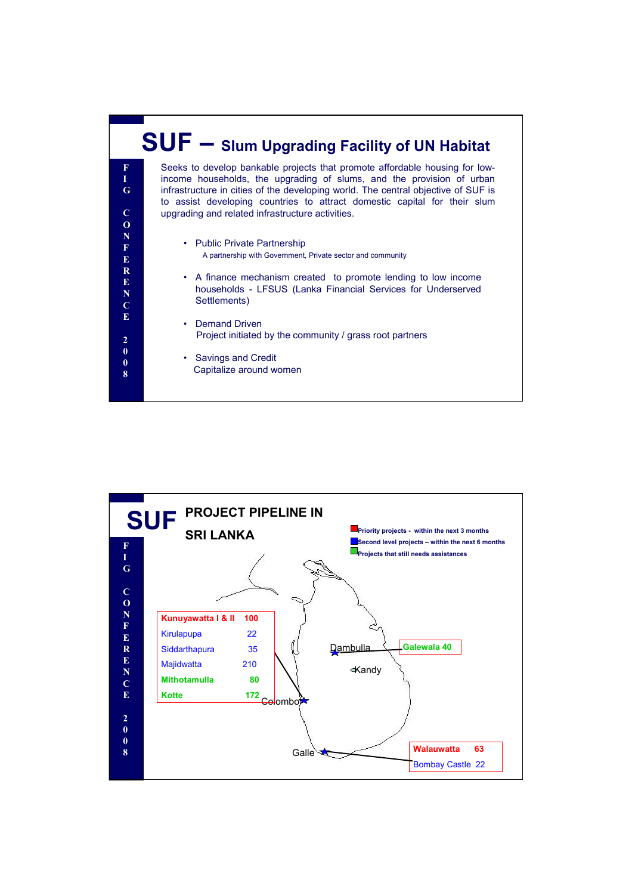

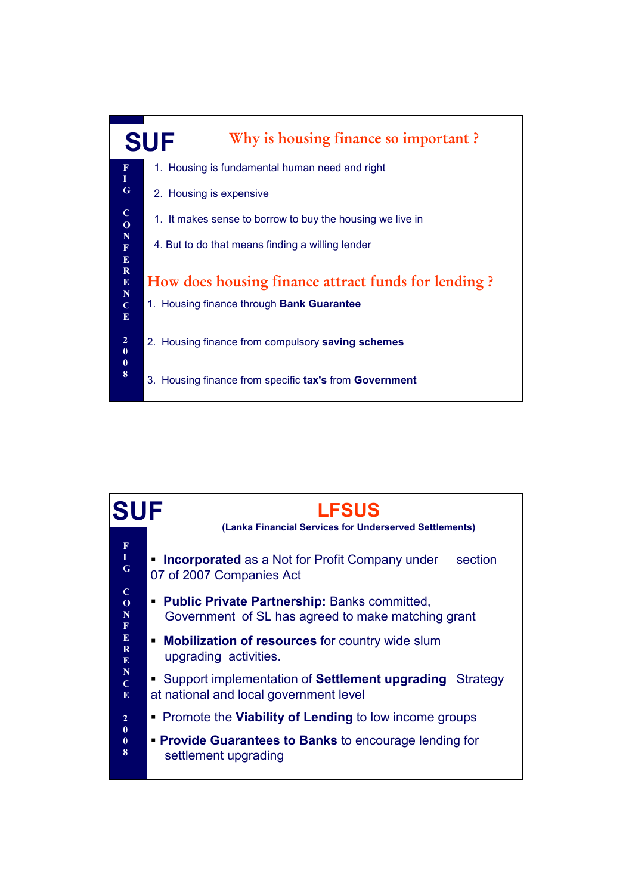

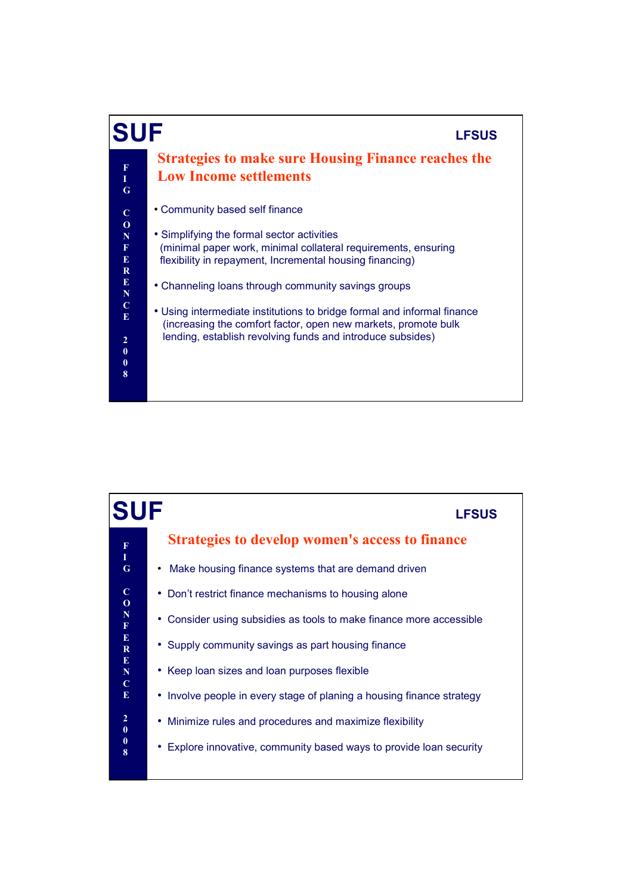

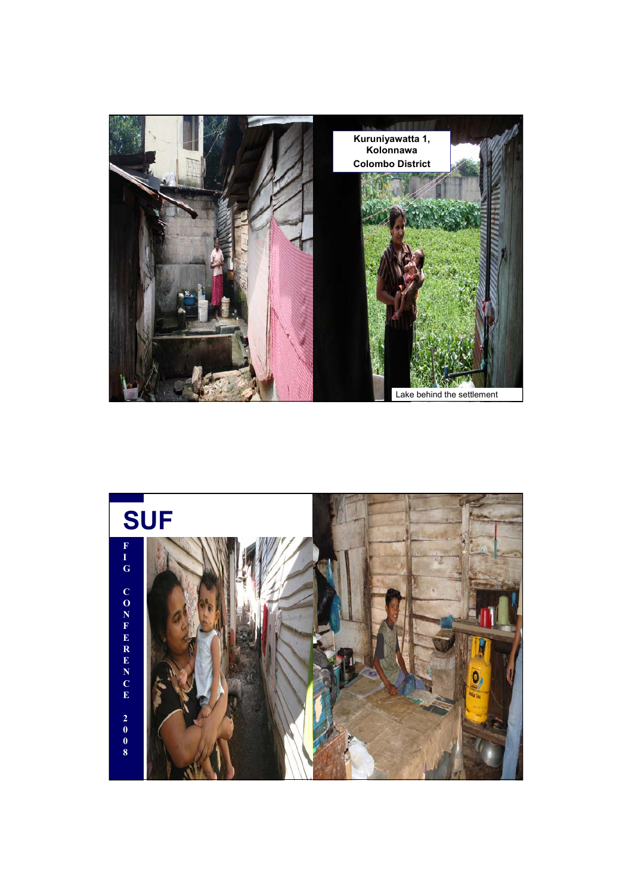

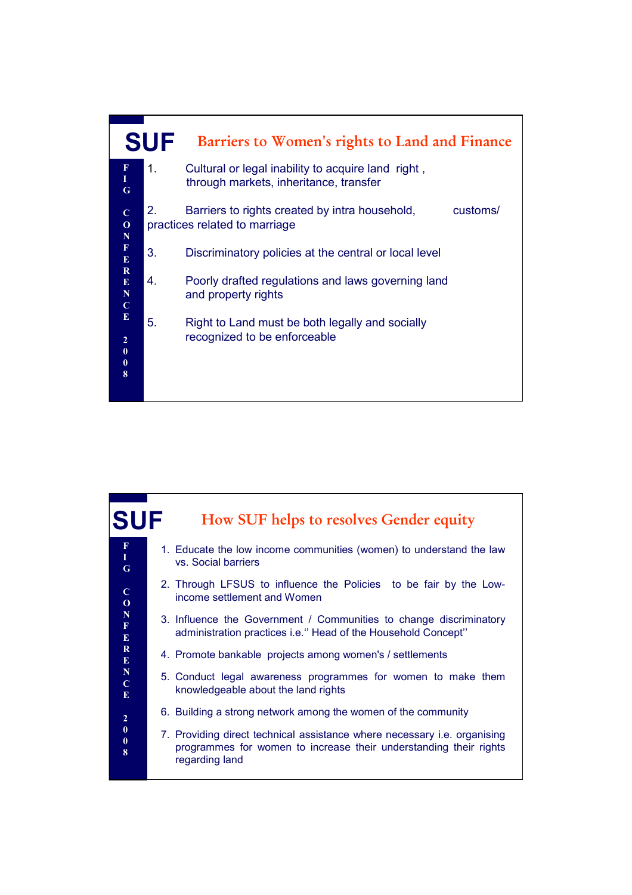

| <b>SUF</b>                                  | How SUF helps to resolves Gender equity                                                                                                                         |
|---------------------------------------------|-----------------------------------------------------------------------------------------------------------------------------------------------------------------|
| $\frac{F}{I}$<br>G                          | 1. Educate the low income communities (women) to understand the law<br>vs. Social barriers                                                                      |
| $\mathbf C$<br>$\mathbf 0$                  | 2. Through LFSUS to influence the Policies to be fair by the Low-<br>income settlement and Women                                                                |
| ${\bf N}$<br>$\mathbf F$<br>${\bf E}$       | 3. Influence the Government / Communities to change discriminatory<br>administration practices i.e." Head of the Household Concept"                             |
| $\bf R$<br>E                                | 4. Promote bankable projects among women's / settlements                                                                                                        |
| ${\bf N}$<br>$\overline{C}$<br>$\mathbf{E}$ | 5. Conduct legal awareness programmes for women to make them<br>knowledgeable about the land rights                                                             |
| $\boldsymbol{2}$                            | 6. Building a strong network among the women of the community                                                                                                   |
| $\bf{0}$<br>$\boldsymbol{0}$<br>8           | 7. Providing direct technical assistance where necessary i.e. organising<br>programmes for women to increase their understanding their rights<br>regarding land |